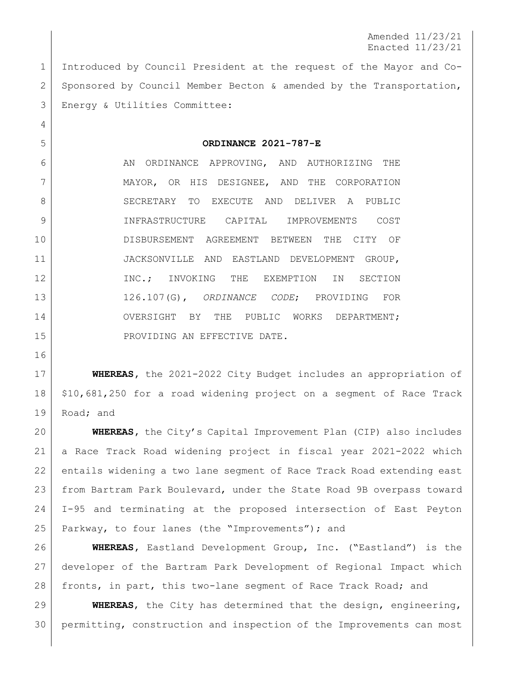Amended 11/23/21 Enacted 11/23/21

 Introduced by Council President at the request of the Mayor and Co-2 Sponsored by Council Member Becton & amended by the Transportation, Energy & Utilities Committee:

## **ORDINANCE 2021-787-E**

6 AN ORDINANCE APPROVING, AND AUTHORIZING THE MAYOR, OR HIS DESIGNEE, AND THE CORPORATION 8 SECRETARY TO EXECUTE AND DELIVER A PUBLIC INFRASTRUCTURE CAPITAL IMPROVEMENTS COST DISBURSEMENT AGREEMENT BETWEEN THE CITY OF JACKSONVILLE AND EASTLAND DEVELOPMENT GROUP, 12 INC.; INVOKING THE EXEMPTION IN SECTION 126.107(G), *ORDINANCE CODE*; PROVIDING FOR 14 OVERSIGHT BY THE PUBLIC WORKS DEPARTMENT; 15 | PROVIDING AN EFFECTIVE DATE.

 **WHEREAS,** the 2021-2022 City Budget includes an appropriation of \$10,681,250 for a road widening project on a segment of Race Track 19 Road; and

 **WHEREAS,** the City's Capital Improvement Plan (CIP) also includes a Race Track Road widening project in fiscal year 2021-2022 which entails widening a two lane segment of Race Track Road extending east from Bartram Park Boulevard, under the State Road 9B overpass toward I-95 and terminating at the proposed intersection of East Peyton Parkway, to four lanes (the "Improvements"); and

 **WHEREAS,** Eastland Development Group, Inc. ("Eastland") is the developer of the Bartram Park Development of Regional Impact which fronts, in part, this two-lane segment of Race Track Road; and

 **WHEREAS**, the City has determined that the design, engineering, permitting, construction and inspection of the Improvements can most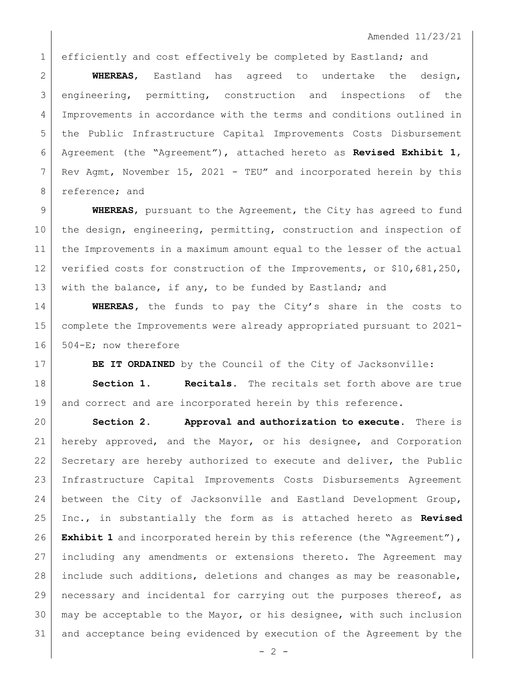1 efficiently and cost effectively be completed by Eastland; and

 **WHEREAS**, Eastland has agreed to undertake the design, engineering, permitting, construction and inspections of the Improvements in accordance with the terms and conditions outlined in the Public Infrastructure Capital Improvements Costs Disbursement Agreement (the "Agreement"), attached hereto as **Revised Exhibit 1**, Rev Agmt, November 15, 2021 - TEU" and incorporated herein by this 8 reference; and

 **WHEREAS**, pursuant to the Agreement, the City has agreed to fund the design, engineering, permitting, construction and inspection of the Improvements in a maximum amount equal to the lesser of the actual 12 verified costs for construction of the Improvements, or \$10,681,250, 13 with the balance, if any, to be funded by Eastland; and

 **WHEREAS,** the funds to pay the City's share in the costs to complete the Improvements were already appropriated pursuant to 2021- 504-E; now therefore

**BE IT ORDAINED** by the Council of the City of Jacksonville:

 **Section 1. Recitals.** The recitals set forth above are true 19 and correct and are incorporated herein by this reference.

 **Section 2. Approval and authorization to execute.** There is hereby approved, and the Mayor, or his designee, and Corporation 22 Secretary are hereby authorized to execute and deliver, the Public Infrastructure Capital Improvements Costs Disbursements Agreement between the City of Jacksonville and Eastland Development Group, Inc., in substantially the form as is attached hereto as **Revised Exhibit 1** and incorporated herein by this reference (the "Agreement"), including any amendments or extensions thereto. The Agreement may include such additions, deletions and changes as may be reasonable, necessary and incidental for carrying out the purposes thereof, as may be acceptable to the Mayor, or his designee, with such inclusion and acceptance being evidenced by execution of the Agreement by the

 $- 2 -$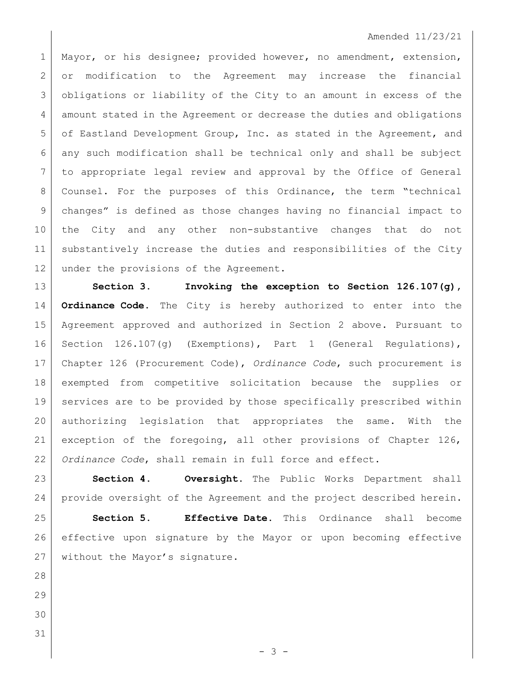## Amended 11/23/21

1 Mayor, or his designee; provided however, no amendment, extension, or modification to the Agreement may increase the financial obligations or liability of the City to an amount in excess of the 4 amount stated in the Agreement or decrease the duties and obligations 5 of Eastland Development Group, Inc. as stated in the Agreement, and any such modification shall be technical only and shall be subject to appropriate legal review and approval by the Office of General Counsel. For the purposes of this Ordinance, the term "technical changes" is defined as those changes having no financial impact to the City and any other non-substantive changes that do not substantively increase the duties and responsibilities of the City 12 under the provisions of the Agreement.

 **Section 3. Invoking the exception to Section 126.107(g), Ordinance Code.** The City is hereby authorized to enter into the Agreement approved and authorized in Section 2 above. Pursuant to Section 126.107(g) (Exemptions), Part 1 (General Regulations), Chapter 126 (Procurement Code), *Ordinance Code*, such procurement is exempted from competitive solicitation because the supplies or services are to be provided by those specifically prescribed within authorizing legislation that appropriates the same. With the exception of the foregoing, all other provisions of Chapter 126, *Ordinance Code*, shall remain in full force and effect.

 **Section 4. Oversight.** The Public Works Department shall provide oversight of the Agreement and the project described herein.

 **Section 5. Effective Date.** This Ordinance shall become effective upon signature by the Mayor or upon becoming effective 27 | without the Mayor's signature.

- 3 -